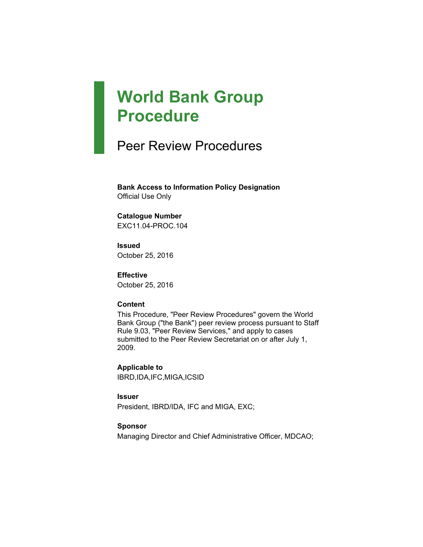# **World Bank Group Procedure**

# Peer Review Procedures

**Bank Access to Information Policy Designation** Official Use Only

#### **Catalogue Number**

EXC11.04-PROC.104

**Issued** October 25, 2016

**Effective** October 25, 2016

#### **Content**

This Procedure, "Peer Review Procedures" govern the World Bank Group ("the Bank") peer review process pursuant to Staff Rule 9.03, "Peer Review Services," and apply to cases submitted to the Peer Review Secretariat on or after July 1, 2009.

**Applicable to** IBRD,IDA,IFC,MIGA,ICSID

**Issuer** President, IBRD/IDA, IFC and MIGA, EXC;

#### **Sponsor**

Managing Director and Chief Administrative Officer, MDCAO;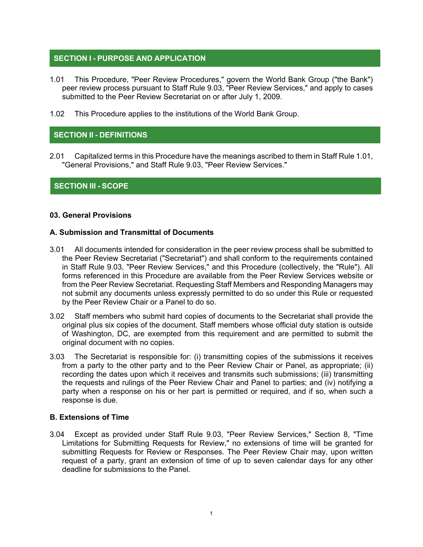### **SECTION I - PURPOSE AND APPLICATION**

- 1.01 This Procedure, "Peer Review Procedures," govern the World Bank Group ("the Bank") peer review process pursuant to Staff Rule 9.03, "Peer Review Services," and apply to cases submitted to the Peer Review Secretariat on or after July 1, 2009.
- 1.02 This Procedure applies to the institutions of the World Bank Group.

#### **SECTION II - DEFINITIONS**

2.01 Capitalized terms in this Procedure have the meanings ascribed to them in Staff Rule 1.01, "General Provisions," and Staff Rule 9.03, "Peer Review Services."

#### **SECTION III - SCOPE**

#### **03. General Provisions**

#### **A. Submission and Transmittal of Documents**

- 3.01 All documents intended for consideration in the peer review process shall be submitted to the Peer Review Secretariat ("Secretariat") and shall conform to the requirements contained in Staff Rule 9.03, "Peer Review Services," and this Procedure (collectively, the "Rule"). All forms referenced in this Procedure are available from the Peer Review Services website or from the Peer Review Secretariat. Requesting Staff Members and Responding Managers may not submit any documents unless expressly permitted to do so under this Rule or requested by the Peer Review Chair or a Panel to do so.
- 3.02 Staff members who submit hard copies of documents to the Secretariat shall provide the original plus six copies of the document. Staff members whose official duty station is outside of Washington, DC, are exempted from this requirement and are permitted to submit the original document with no copies.
- 3.03 The Secretariat is responsible for: (i) transmitting copies of the submissions it receives from a party to the other party and to the Peer Review Chair or Panel, as appropriate; (ii) recording the dates upon which it receives and transmits such submissions; (iii) transmitting the requests and rulings of the Peer Review Chair and Panel to parties; and (iv) notifying a party when a response on his or her part is permitted or required, and if so, when such a response is due.

#### **B. Extensions of Time**

3.04 Except as provided under Staff Rule 9.03, "Peer Review Services," Section 8, "Time Limitations for Submitting Requests for Review," no extensions of time will be granted for submitting Requests for Review or Responses. The Peer Review Chair may, upon written request of a party, grant an extension of time of up to seven calendar days for any other deadline for submissions to the Panel.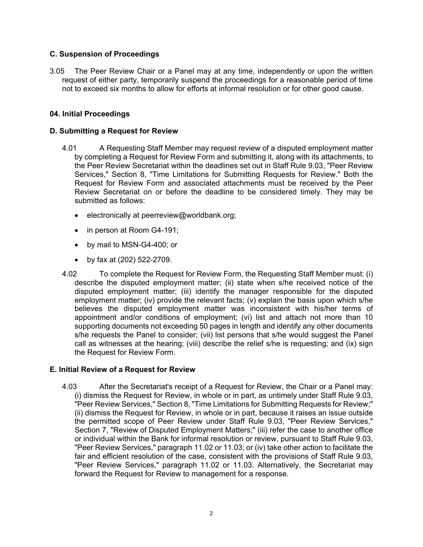#### **C. Suspension of Proceedings**

3.05 The Peer Review Chair or a Panel may at any time, independently or upon the written request of either party, temporarily suspend the proceedings for a reasonable period of time not to exceed six months to allow for efforts at informal resolution or for other good cause.

#### **04. Initial Proceedings**

#### **D. Submitting a Request for Review**

- 4.01 A Requesting Staff Member may request review of a disputed employment matter by completing a Request for Review Form and submitting it, along with its attachments, to the Peer Review Secretariat within the deadlines set out in Staff Rule 9.03, "Peer Review Services," Section 8, "Time Limitations for Submitting Requests for Review." Both the Request for Review Form and associated attachments must be received by the Peer Review Secretariat on or before the deadline to be considered timely. They may be submitted as follows:
	- electronically at peerreview@worldbank.org;
	- in person at Room G4-191;
	- by mail to MSN-G4-400; or
	- by fax at (202) 522-2709.
- 4.02 To complete the Request for Review Form, the Requesting Staff Member must: (i) describe the disputed employment matter; (ii) state when s/he received notice of the disputed employment matter; (iii) identify the manager responsible for the disputed employment matter; (iv) provide the relevant facts; (v) explain the basis upon which s/he believes the disputed employment matter was inconsistent with his/her terms of appointment and/or conditions of employment; (vi) list and attach not more than 10 supporting documents not exceeding 50 pages in length and identify any other documents s/he requests the Panel to consider; (vii) list persons that s/he would suggest the Panel call as witnesses at the hearing; (viii) describe the relief s/he is requesting; and (ix) sign the Request for Review Form.

#### **E. Initial Review of a Request for Review**

4.03 After the Secretariat's receipt of a Request for Review, the Chair or a Panel may: (i) dismiss the Request for Review, in whole or in part, as untimely under Staff Rule 9.03, "Peer Review Services," Section 8, "Time Limitations for Submitting Requests for Review;" (ii) dismiss the Request for Review, in whole or in part, because it raises an issue outside the permitted scope of Peer Review under Staff Rule 9.03, "Peer Review Services," Section 7, "Review of Disputed Employment Matters;" (iii) refer the case to another office or individual within the Bank for informal resolution or review, pursuant to Staff Rule 9.03, "Peer Review Services," paragraph 11.02 or 11.03; or (iv) take other action to facilitate the fair and efficient resolution of the case, consistent with the provisions of Staff Rule 9.03, "Peer Review Services," paragraph 11.02 or 11.03. Alternatively, the Secretariat may forward the Request for Review to management for a response.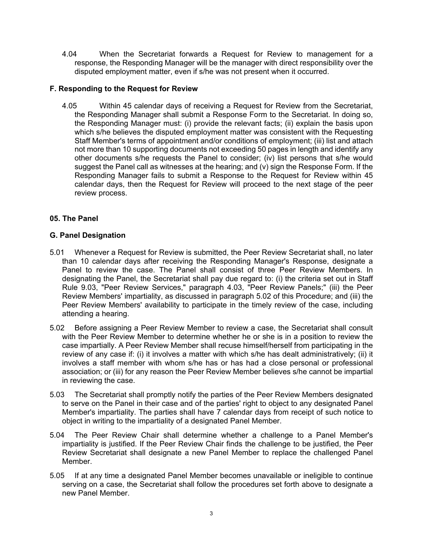4.04 When the Secretariat forwards a Request for Review to management for a response, the Responding Manager will be the manager with direct responsibility over the disputed employment matter, even if s/he was not present when it occurred.

#### **F. Responding to the Request for Review**

4.05 Within 45 calendar days of receiving a Request for Review from the Secretariat, the Responding Manager shall submit a Response Form to the Secretariat. In doing so, the Responding Manager must: (i) provide the relevant facts; (ii) explain the basis upon which s/he believes the disputed employment matter was consistent with the Requesting Staff Member's terms of appointment and/or conditions of employment; (iii) list and attach not more than 10 supporting documents not exceeding 50 pages in length and identify any other documents s/he requests the Panel to consider; (iv) list persons that s/he would suggest the Panel call as witnesses at the hearing; and (v) sign the Response Form. If the Responding Manager fails to submit a Response to the Request for Review within 45 calendar days, then the Request for Review will proceed to the next stage of the peer review process.

#### **05. The Panel**

#### **G. Panel Designation**

- 5.01 Whenever a Request for Review is submitted, the Peer Review Secretariat shall, no later than 10 calendar days after receiving the Responding Manager's Response, designate a Panel to review the case. The Panel shall consist of three Peer Review Members. In designating the Panel, the Secretariat shall pay due regard to: (i) the criteria set out in Staff Rule 9.03, "Peer Review Services," paragraph 4.03, "Peer Review Panels;" (iii) the Peer Review Members' impartiality, as discussed in paragraph 5.02 of this Procedure; and (iii) the Peer Review Members' availability to participate in the timely review of the case, including attending a hearing.
- 5.02 Before assigning a Peer Review Member to review a case, the Secretariat shall consult with the Peer Review Member to determine whether he or she is in a position to review the case impartially. A Peer Review Member shall recuse himself/herself from participating in the review of any case if: (i) it involves a matter with which s/he has dealt administratively; (ii) it involves a staff member with whom s/he has or has had a close personal or professional association; or (iii) for any reason the Peer Review Member believes s/he cannot be impartial in reviewing the case.
- 5.03 The Secretariat shall promptly notify the parties of the Peer Review Members designated to serve on the Panel in their case and of the parties' right to object to any designated Panel Member's impartiality. The parties shall have 7 calendar days from receipt of such notice to object in writing to the impartiality of a designated Panel Member.
- 5.04 The Peer Review Chair shall determine whether a challenge to a Panel Member's impartiality is justified. If the Peer Review Chair finds the challenge to be justified, the Peer Review Secretariat shall designate a new Panel Member to replace the challenged Panel Member.
- 5.05 If at any time a designated Panel Member becomes unavailable or ineligible to continue serving on a case, the Secretariat shall follow the procedures set forth above to designate a new Panel Member.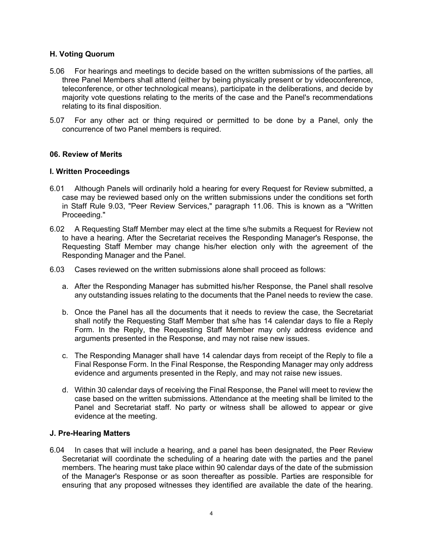#### **H. Voting Quorum**

- 5.06 For hearings and meetings to decide based on the written submissions of the parties, all three Panel Members shall attend (either by being physically present or by videoconference, teleconference, or other technological means), participate in the deliberations, and decide by majority vote questions relating to the merits of the case and the Panel's recommendations relating to its final disposition.
- 5.07 For any other act or thing required or permitted to be done by a Panel, only the concurrence of two Panel members is required.

#### **06. Review of Merits**

#### **I. Written Proceedings**

- 6.01 Although Panels will ordinarily hold a hearing for every Request for Review submitted, a case may be reviewed based only on the written submissions under the conditions set forth in Staff Rule 9.03, "Peer Review Services," paragraph 11.06. This is known as a "Written Proceeding."
- 6.02 A Requesting Staff Member may elect at the time s/he submits a Request for Review not to have a hearing. After the Secretariat receives the Responding Manager's Response, the Requesting Staff Member may change his/her election only with the agreement of the Responding Manager and the Panel.
- 6.03 Cases reviewed on the written submissions alone shall proceed as follows:
	- a. After the Responding Manager has submitted his/her Response, the Panel shall resolve any outstanding issues relating to the documents that the Panel needs to review the case.
	- b. Once the Panel has all the documents that it needs to review the case, the Secretariat shall notify the Requesting Staff Member that s/he has 14 calendar days to file a Reply Form. In the Reply, the Requesting Staff Member may only address evidence and arguments presented in the Response, and may not raise new issues.
	- c. The Responding Manager shall have 14 calendar days from receipt of the Reply to file a Final Response Form. In the Final Response, the Responding Manager may only address evidence and arguments presented in the Reply, and may not raise new issues.
	- d. Within 30 calendar days of receiving the Final Response, the Panel will meet to review the case based on the written submissions. Attendance at the meeting shall be limited to the Panel and Secretariat staff. No party or witness shall be allowed to appear or give evidence at the meeting.

#### **J. Pre-Hearing Matters**

6.04 In cases that will include a hearing, and a panel has been designated, the Peer Review Secretariat will coordinate the scheduling of a hearing date with the parties and the panel members. The hearing must take place within 90 calendar days of the date of the submission of the Manager's Response or as soon thereafter as possible. Parties are responsible for ensuring that any proposed witnesses they identified are available the date of the hearing.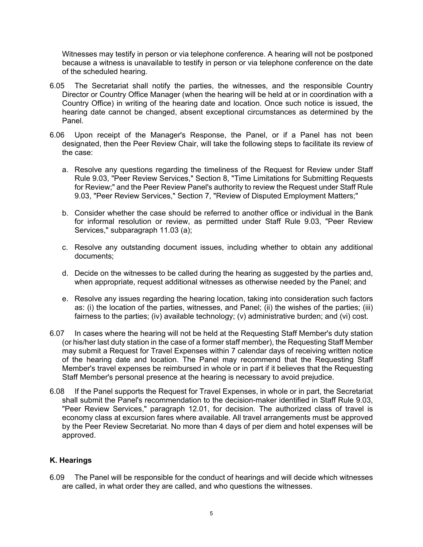Witnesses may testify in person or via telephone conference. A hearing will not be postponed because a witness is unavailable to testify in person or via telephone conference on the date of the scheduled hearing.

- 6.05 The Secretariat shall notify the parties, the witnesses, and the responsible Country Director or Country Office Manager (when the hearing will be held at or in coordination with a Country Office) in writing of the hearing date and location. Once such notice is issued, the hearing date cannot be changed, absent exceptional circumstances as determined by the Panel.
- 6.06 Upon receipt of the Manager's Response, the Panel, or if a Panel has not been designated, then the Peer Review Chair, will take the following steps to facilitate its review of the case:
	- a. Resolve any questions regarding the timeliness of the Request for Review under Staff Rule 9.03, "Peer Review Services," Section 8, "Time Limitations for Submitting Requests for Review;" and the Peer Review Panel's authority to review the Request under Staff Rule 9.03, "Peer Review Services," Section 7, "Review of Disputed Employment Matters;"
	- b. Consider whether the case should be referred to another office or individual in the Bank for informal resolution or review, as permitted under Staff Rule 9.03, "Peer Review Services," subparagraph 11.03 (a);
	- c. Resolve any outstanding document issues, including whether to obtain any additional documents;
	- d. Decide on the witnesses to be called during the hearing as suggested by the parties and, when appropriate, request additional witnesses as otherwise needed by the Panel; and
	- e. Resolve any issues regarding the hearing location, taking into consideration such factors as: (i) the location of the parties, witnesses, and Panel; (ii) the wishes of the parties; (iii) fairness to the parties; (iv) available technology; (v) administrative burden; and (vi) cost.
- 6.07 In cases where the hearing will not be held at the Requesting Staff Member's duty station (or his/her last duty station in the case of a former staff member), the Requesting Staff Member may submit a Request for Travel Expenses within 7 calendar days of receiving written notice of the hearing date and location. The Panel may recommend that the Requesting Staff Member's travel expenses be reimbursed in whole or in part if it believes that the Requesting Staff Member's personal presence at the hearing is necessary to avoid prejudice.
- 6.08 If the Panel supports the Request for Travel Expenses, in whole or in part, the Secretariat shall submit the Panel's recommendation to the decision-maker identified in Staff Rule 9.03, "Peer Review Services," paragraph 12.01, for decision. The authorized class of travel is economy class at excursion fares where available. All travel arrangements must be approved by the Peer Review Secretariat. No more than 4 days of per diem and hotel expenses will be approved.

#### **K. Hearings**

6.09 The Panel will be responsible for the conduct of hearings and will decide which witnesses are called, in what order they are called, and who questions the witnesses.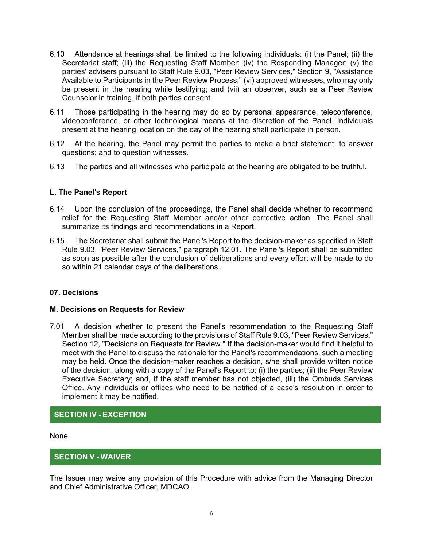- 6.10 Attendance at hearings shall be limited to the following individuals: (i) the Panel; (ii) the Secretariat staff; (iii) the Requesting Staff Member: (iv) the Responding Manager; (v) the parties' advisers pursuant to Staff Rule 9.03, "Peer Review Services," Section 9, "Assistance Available to Participants in the Peer Review Process;" (vi) approved witnesses, who may only be present in the hearing while testifying; and (vii) an observer, such as a Peer Review Counselor in training, if both parties consent.
- 6.11 Those participating in the hearing may do so by personal appearance, teleconference, videoconference, or other technological means at the discretion of the Panel. Individuals present at the hearing location on the day of the hearing shall participate in person.
- 6.12 At the hearing, the Panel may permit the parties to make a brief statement; to answer questions; and to question witnesses.
- 6.13 The parties and all witnesses who participate at the hearing are obligated to be truthful.

#### **L. The Panel's Report**

- 6.14 Upon the conclusion of the proceedings, the Panel shall decide whether to recommend relief for the Requesting Staff Member and/or other corrective action. The Panel shall summarize its findings and recommendations in a Report.
- 6.15 The Secretariat shall submit the Panel's Report to the decision-maker as specified in Staff Rule 9.03, "Peer Review Services," paragraph 12.01. The Panel's Report shall be submitted as soon as possible after the conclusion of deliberations and every effort will be made to do so within 21 calendar days of the deliberations.

#### **07. Decisions**

#### **M. Decisions on Requests for Review**

7.01 A decision whether to present the Panel's recommendation to the Requesting Staff Member shall be made according to the provisions of Staff Rule 9.03, "Peer Review Services," Section 12, "Decisions on Requests for Review." If the decision-maker would find it helpful to meet with the Panel to discuss the rationale for the Panel's recommendations, such a meeting may be held. Once the decision-maker reaches a decision, s/he shall provide written notice of the decision, along with a copy of the Panel's Report to: (i) the parties; (ii) the Peer Review Executive Secretary; and, if the staff member has not objected, (iii) the Ombuds Services Office. Any individuals or offices who need to be notified of a case's resolution in order to implement it may be notified.

#### **SECTION IV - EXCEPTION**

None

#### **SECTION V - WAIVER**

The Issuer may waive any provision of this Procedure with advice from the Managing Director and Chief Administrative Officer, MDCAO.